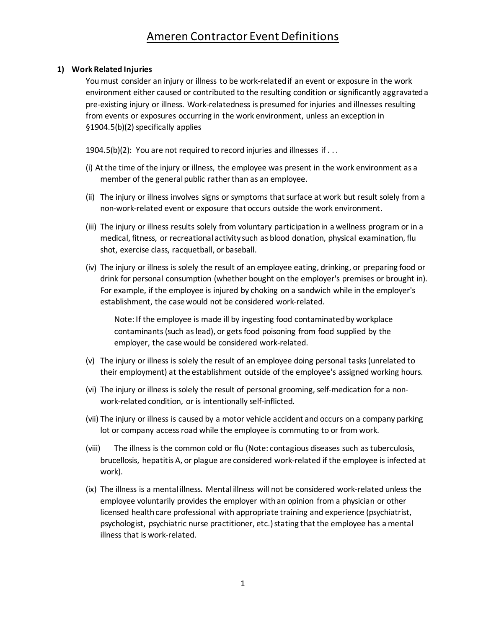### **1) Work Related Injuries**

You must consider an injury or illness to be work-related if an event or exposure in the work environment either caused or contributed to the resulting condition or significantly aggravated a pre-existing injury or illness. Work-relatedness is presumed for injuries and illnesses resulting from events or exposures occurring in the work environment, unless an exception in §1904.5(b)(2) specifically applies

1904.5(b)(2): You are not required to record injuries and illnesses if . . .

- (i) At the time of the injury or illness, the employee was present in the work environment as a member of the general public rather than as an employee.
- (ii) The injury or illness involves signs or symptoms that surface at work but result solely from a non-work-related event or exposure that occurs outside the work environment.
- (iii) The injury or illness results solely from voluntary participation in a wellness program or in a medical, fitness, or recreational activity such as blood donation, physical examination, flu shot, exercise class, racquetball, or baseball.
- (iv) The injury or illness is solely the result of an employee eating, drinking, or preparing food or drink for personal consumption (whether bought on the employer's premises or brought in). For example, if the employee is injured by choking on a sandwich while in the employer's establishment, the case would not be considered work-related.

Note: If the employee is made ill by ingesting food contaminated by workplace contaminants (such as lead), or gets food poisoning from food supplied by the employer, the case would be considered work-related.

- (v) The injury or illness is solely the result of an employee doing personal tasks (unrelated to their employment) at the establishment outside of the employee's assigned working hours.
- (vi) The injury or illness is solely the result of personal grooming, self-medication for a nonwork-related condition, or is intentionally self-inflicted.
- (vii) The injury or illness is caused by a motor vehicle accident and occurs on a company parking lot or company access road while the employee is commuting to or from work.
- (viii) The illness is the common cold or flu (Note: contagious diseases such as tuberculosis, brucellosis, hepatitis A, or plague are considered work-related if the employee is infected at work).
- (ix) The illness is a mental illness. Mental illness will not be considered work-related unless the employee voluntarily provides the employer with an opinion from a physician or other licensed health care professional with appropriate training and experience (psychiatrist, psychologist, psychiatric nurse practitioner, etc.) stating that the employee has a mental illness that is work-related.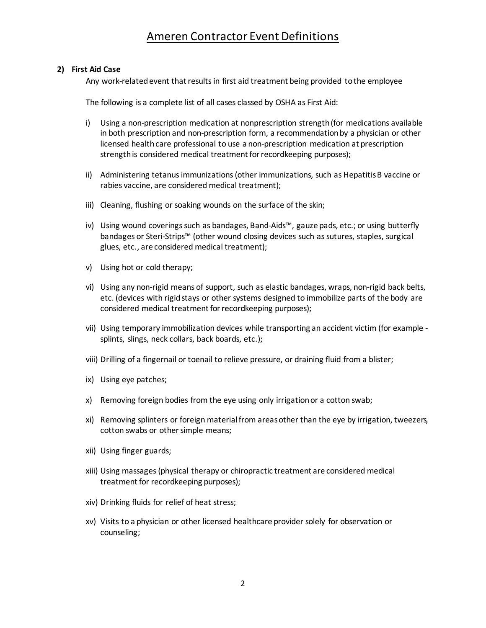### **2) First Aid Case**

Any work-related event that results in first aid treatment being provided to the employee

The following is a complete list of all cases classed by OSHA as First Aid:

- i) Using a non-prescription medication at nonprescription strength (for medications available in both prescription and non-prescription form, a recommendation by a physician or other licensed health care professional to use a non-prescription medication at prescription strength is considered medical treatment for recordkeeping purposes);
- ii) Administering tetanus immunizations (other immunizations, such as Hepatitis B vaccine or rabies vaccine, are considered medical treatment);
- iii) Cleaning, flushing or soaking wounds on the surface of the skin;
- iv) Using wound coverings such as bandages, Band-Aids™, gauze pads, etc.; or using butterfly bandages or Steri-Strips™ (other wound closing devices such as sutures, staples, surgical glues, etc., are considered medical treatment);
- v) Using hot or cold therapy;
- vi) Using any non-rigid means of support, such as elastic bandages, wraps, non-rigid back belts, etc. (devices with rigid stays or other systems designed to immobilize parts of the body are considered medical treatment for recordkeeping purposes);
- vii) Using temporary immobilization devices while transporting an accident victim (for example splints, slings, neck collars, back boards, etc.);
- viii) Drilling of a fingernail or toenail to relieve pressure, or draining fluid from a blister;
- ix) Using eye patches;
- x) Removing foreign bodies from the eye using only irrigation or a cotton swab;
- xi) Removing splinters or foreign material from areas other than the eye by irrigation, tweezers, cotton swabs or other simple means;
- xii) Using finger guards;
- xiii) Using massages (physical therapy or chiropractic treatment are considered medical treatment for recordkeeping purposes);
- xiv) Drinking fluids for relief of heat stress;
- xv) Visits to a physician or other licensed healthcare provider solely for observation or counseling;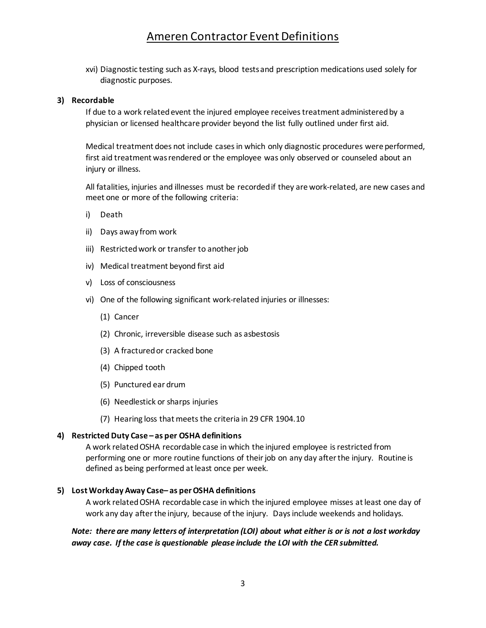xvi) Diagnostic testing such as X-rays, blood tests and prescription medications used solely for diagnostic purposes.

#### **3) Recordable**

If due to a work related event the injured employee receives treatment administered by a physician or licensed healthcare provider beyond the list fully outlined under first aid.

Medical treatment does not include cases in which only diagnostic procedures were performed, first aid treatment was rendered or the employee was only observed or counseled about an injury or illness.

All fatalities, injuries and illnesses must be recorded if they are work-related, are new cases and meet one or more of the following criteria:

- i) Death
- ii) Days away from work
- iii) Restricted work or transfer to another job
- iv) Medical treatment beyond first aid
- v) Loss of consciousness
- vi) One of the following significant work-related injuries or illnesses:
	- (1) Cancer
	- (2) Chronic, irreversible disease such as asbestosis
	- (3) A fractured or cracked bone
	- (4) Chipped tooth
	- (5) Punctured ear drum
	- (6) Needlestick or sharps injuries
	- (7) Hearing loss that meets the criteria in 29 CFR 1904.10

#### **4) Restricted Duty Case – as per OSHA definitions**

A work related OSHA recordable case in which the injured employee is restricted from performing one or more routine functions of their job on any day after the injury. Routine is defined as being performed at least once per week.

#### **5) Lost Workday Away Case– as per OSHA definitions**

A work related OSHA recordable case in which the injured employee misses at least one day of work any day after the injury, because of the injury. Days include weekends and holidays.

*Note: there are many letters of interpretation (LOI) about what either is or is not a lost workday away case. If the case is questionable please include the LOI with the CER submitted.*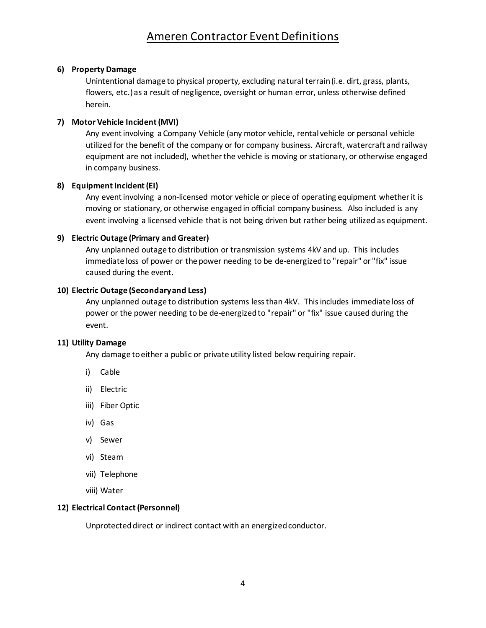## **6) Property Damage**

Unintentional damage to physical property, excluding natural terrain (i.e. dirt, grass, plants, flowers, etc.) as a result of negligence, oversight or human error, unless otherwise defined herein.

## **7) Motor Vehicle Incident (MVI)**

Any event involving a Company Vehicle (any motor vehicle, rental vehicle or personal vehicle utilized for the benefit of the company or for company business. Aircraft, watercraft and railway equipment are not included), whether the vehicle is moving or stationary, or otherwise engaged in company business.

## **8) Equipment Incident (EI)**

Any event involving a non-licensed motor vehicle or piece of operating equipment whether it is moving or stationary, or otherwise engaged in official company business. Also included is any event involving a licensed vehicle that is not being driven but rather being utilized as equipment.

## **9) Electric Outage (Primary and Greater)**

Any unplanned outage to distribution or transmission systems 4kV and up. This includes immediate loss of power or the power needing to be de-energizedto "repair" or "fix" issue caused during the event.

## **10) Electric Outage (Secondary and Less)**

Any unplanned outage to distribution systems less than 4kV. This includes immediate loss of power or the power needing to be de-energized to "repair" or "fix" issue caused during the event.

#### **11) Utility Damage**

Any damage to either a public or private utility listed below requiring repair.

- i) Cable
- ii) Electric
- iii) Fiber Optic
- iv) Gas
- v) Sewer
- vi) Steam
- vii) Telephone
- viii) Water

## **12) Electrical Contact (Personnel)**

Unprotected direct or indirect contact with an energized conductor.